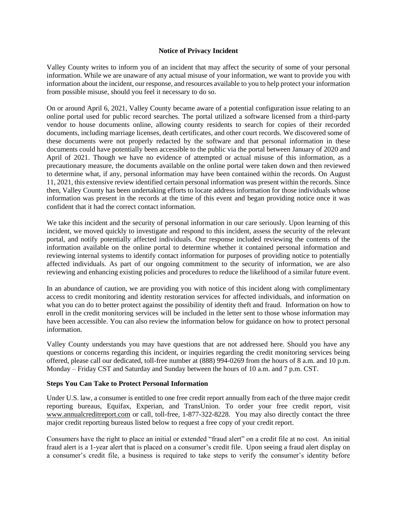## **Notice of Privacy Incident**

Valley County writes to inform you of an incident that may affect the security of some of your personal information. While we are unaware of any actual misuse of your information, we want to provide you with information about the incident, our response, and resources available to you to help protect your information from possible misuse, should you feel it necessary to do so.

On or around April 6, 2021, Valley County became aware of a potential configuration issue relating to an online portal used for public record searches. The portal utilized a software licensed from a third-party vendor to house documents online, allowing county residents to search for copies of their recorded documents, including marriage licenses, death certificates, and other court records. We discovered some of these documents were not properly redacted by the software and that personal information in these documents could have potentially been accessible to the public via the portal between January of 2020 and April of 2021. Though we have no evidence of attempted or actual misuse of this information, as a precautionary measure, the documents available on the online portal were taken down and then reviewed to determine what, if any, personal information may have been contained within the records. On August 11, 2021, this extensive review identified certain personal information was present within the records. Since then, Valley County has been undertaking efforts to locate address information for those individuals whose information was present in the records at the time of this event and began providing notice once it was confident that it had the correct contact information.

We take this incident and the security of personal information in our care seriously. Upon learning of this incident, we moved quickly to investigate and respond to this incident, assess the security of the relevant portal, and notify potentially affected individuals. Our response included reviewing the contents of the information available on the online portal to determine whether it contained personal information and reviewing internal systems to identify contact information for purposes of providing notice to potentially affected individuals. As part of our ongoing commitment to the security of information, we are also reviewing and enhancing existing policies and procedures to reduce the likelihood of a similar future event.

In an abundance of caution, we are providing you with notice of this incident along with complimentary access to credit monitoring and identity restoration services for affected individuals, and information on what you can do to better protect against the possibility of identity theft and fraud. Information on how to enroll in the credit monitoring services will be included in the letter sent to those whose information may have been accessible. You can also review the information below for guidance on how to protect personal information.

Valley County understands you may have questions that are not addressed here. Should you have any questions or concerns regarding this incident, or inquiries regarding the credit monitoring services being offered, please call our dedicated, toll-free number at (888) 994-0269 from the hours of 8 a.m. and 10 p.m. Monday – Friday CST and Saturday and Sunday between the hours of 10 a.m. and 7 p.m. CST.

## **Steps You Can Take to Protect Personal Information**

Under U.S. law, a consumer is entitled to one free credit report annually from each of the three major credit reporting bureaus, Equifax, Experian, and TransUnion. To order your free credit report, visit www.annualcreditreport.com or call, toll-free, 1-877-322-8228. You may also directly contact the three major credit reporting bureaus listed below to request a free copy of your credit report.

Consumers have the right to place an initial or extended "fraud alert" on a credit file at no cost. An initial fraud alert is a 1-year alert that is placed on a consumer's credit file. Upon seeing a fraud alert display on a consumer's credit file, a business is required to take steps to verify the consumer's identity before